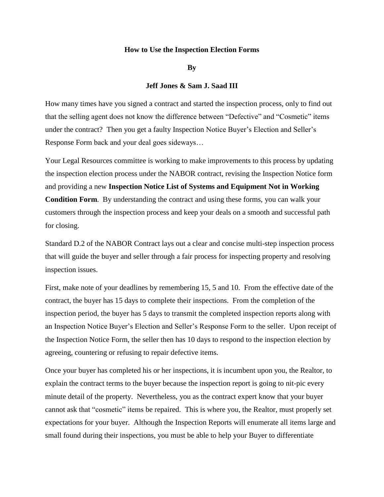## **How to Use the Inspection Election Forms**

**By**

## **Jeff Jones & Sam J. Saad III**

How many times have you signed a contract and started the inspection process, only to find out that the selling agent does not know the difference between "Defective" and "Cosmetic" items under the contract? Then you get a faulty Inspection Notice Buyer's Election and Seller's Response Form back and your deal goes sideways…

Your Legal Resources committee is working to make improvements to this process by updating the inspection election process under the NABOR contract, revising the Inspection Notice form and providing a new **Inspection Notice List of Systems and Equipment Not in Working Condition Form**. By understanding the contract and using these forms, you can walk your customers through the inspection process and keep your deals on a smooth and successful path for closing.

Standard D.2 of the NABOR Contract lays out a clear and concise multi-step inspection process that will guide the buyer and seller through a fair process for inspecting property and resolving inspection issues.

First, make note of your deadlines by remembering 15, 5 and 10. From the effective date of the contract, the buyer has 15 days to complete their inspections. From the completion of the inspection period, the buyer has 5 days to transmit the completed inspection reports along with an Inspection Notice Buyer's Election and Seller's Response Form to the seller. Upon receipt of the Inspection Notice Form, the seller then has 10 days to respond to the inspection election by agreeing, countering or refusing to repair defective items.

Once your buyer has completed his or her inspections, it is incumbent upon you, the Realtor, to explain the contract terms to the buyer because the inspection report is going to nit-pic every minute detail of the property. Nevertheless, you as the contract expert know that your buyer cannot ask that "cosmetic" items be repaired. This is where you, the Realtor, must properly set expectations for your buyer. Although the Inspection Reports will enumerate all items large and small found during their inspections, you must be able to help your Buyer to differentiate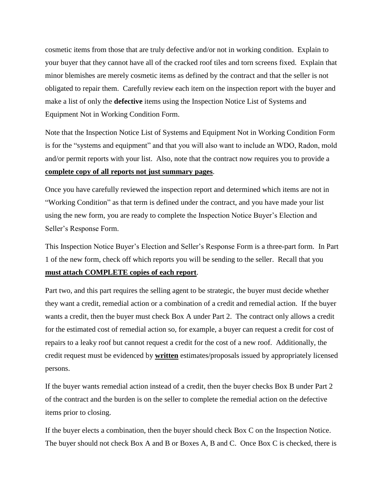cosmetic items from those that are truly defective and/or not in working condition. Explain to your buyer that they cannot have all of the cracked roof tiles and torn screens fixed. Explain that minor blemishes are merely cosmetic items as defined by the contract and that the seller is not obligated to repair them. Carefully review each item on the inspection report with the buyer and make a list of only the **defective** items using the Inspection Notice List of Systems and Equipment Not in Working Condition Form.

Note that the Inspection Notice List of Systems and Equipment Not in Working Condition Form is for the "systems and equipment" and that you will also want to include an WDO, Radon, mold and/or permit reports with your list. Also, note that the contract now requires you to provide a **complete copy of all reports not just summary pages**.

Once you have carefully reviewed the inspection report and determined which items are not in "Working Condition" as that term is defined under the contract, and you have made your list using the new form, you are ready to complete the Inspection Notice Buyer's Election and Seller's Response Form.

This Inspection Notice Buyer's Election and Seller's Response Form is a three-part form. In Part 1 of the new form, check off which reports you will be sending to the seller. Recall that you **must attach COMPLETE copies of each report**.

Part two, and this part requires the selling agent to be strategic, the buyer must decide whether they want a credit, remedial action or a combination of a credit and remedial action. If the buyer wants a credit, then the buyer must check Box A under Part 2. The contract only allows a credit for the estimated cost of remedial action so, for example, a buyer can request a credit for cost of repairs to a leaky roof but cannot request a credit for the cost of a new roof. Additionally, the credit request must be evidenced by **written** estimates/proposals issued by appropriately licensed persons.

If the buyer wants remedial action instead of a credit, then the buyer checks Box B under Part 2 of the contract and the burden is on the seller to complete the remedial action on the defective items prior to closing.

If the buyer elects a combination, then the buyer should check Box C on the Inspection Notice. The buyer should not check Box A and B or Boxes A, B and C. Once Box C is checked, there is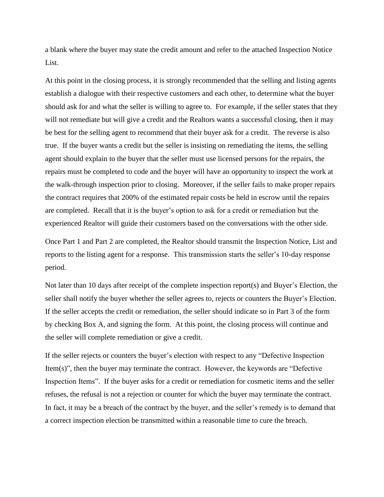a blank where the buyer may state the credit amount and refer to the attached Inspection Notice List.

At this point in the closing process, it is strongly recommended that the selling and listing agents establish a dialogue with their respective customers and each other, to determine what the buyer should ask for and what the seller is willing to agree to. For example, if the seller states that they will not remediate but will give a credit and the Realtors wants a successful closing, then it may be best for the selling agent to recommend that their buyer ask for a credit. The reverse is also true. If the buyer wants a credit but the seller is insisting on remediating the items, the selling agent should explain to the buyer that the seller must use licensed persons for the repairs, the repairs must be completed to code and the buyer will have an opportunity to inspect the work at the walk-through inspection prior to closing. Moreover, if the seller fails to make proper repairs the contract requires that 200% of the estimated repair costs be held in escrow until the repairs are completed. Recall that it is the buyer's option to ask for a credit or remediation but the experienced Realtor will guide their customers based on the conversations with the other side.

Once Part 1 and Part 2 are completed, the Realtor should transmit the Inspection Notice, List and reports to the listing agent for a response. This transmission starts the seller's 10-day response period.

Not later than 10 days after receipt of the complete inspection report(s) and Buyer's Election, the seller shall notify the buyer whether the seller agrees to, rejects or counters the Buyer's Election. If the seller accepts the credit or remediation, the seller should indicate so in Part 3 of the form by checking Box A, and signing the form. At this point, the closing process will continue and the seller will complete remediation or give a credit.

If the seller rejects or counters the buyer's election with respect to any "Defective Inspection Item(s)", then the buyer may terminate the contract. However, the keywords are "Defective Inspection Items". If the buyer asks for a credit or remediation for cosmetic items and the seller refuses, the refusal is not a rejection or counter for which the buyer may terminate the contract. In fact, it may be a breach of the contract by the buyer, and the seller's remedy is to demand that a correct inspection election be transmitted within a reasonable time to cure the breach.